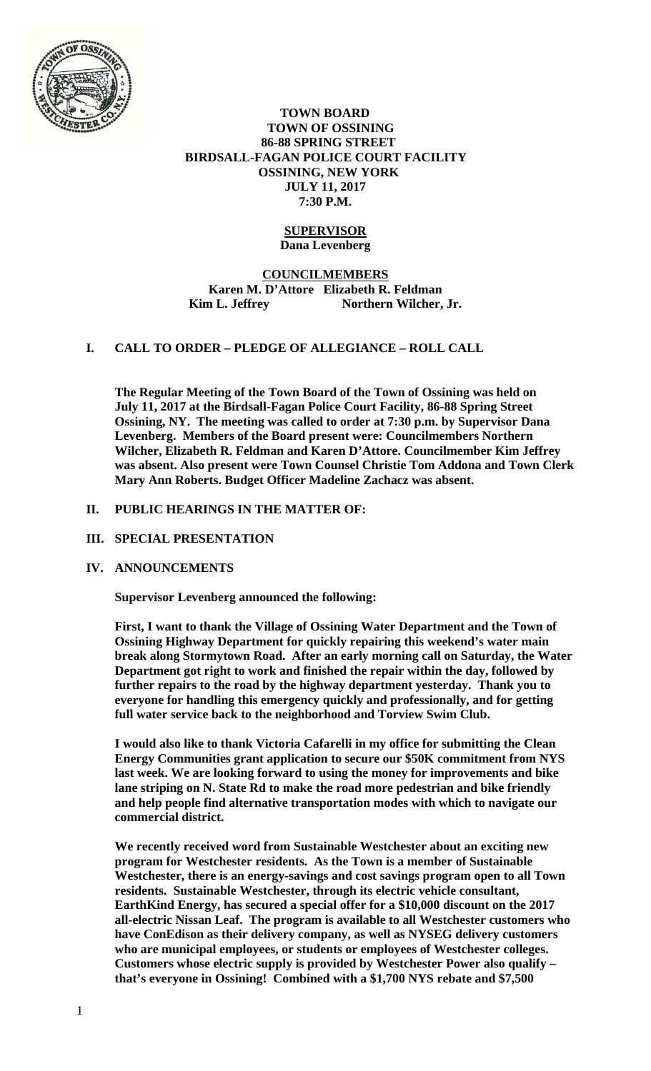

### **TOWN BOARD TOWN OF OSSINING 86-88 SPRING STREET BIRDSALL-FAGAN POLICE COURT FACILITY OSSINING, NEW YORK JULY 11, 2017 7:30 P.M.**

### **SUPERVISOR Dana Levenberg**

## **COUNCILMEMBERS Karen M. D'Attore Elizabeth R. Feldman**  Kim L. Jeffrey Northern Wilcher, Jr.

# **I. CALL TO ORDER – PLEDGE OF ALLEGIANCE – ROLL CALL**

**The Regular Meeting of the Town Board of the Town of Ossining was held on July 11, 2017 at the Birdsall-Fagan Police Court Facility, 86-88 Spring Street Ossining, NY. The meeting was called to order at 7:30 p.m. by Supervisor Dana Levenberg. Members of the Board present were: Councilmembers Northern Wilcher, Elizabeth R. Feldman and Karen D'Attore. Councilmember Kim Jeffrey was absent. Also present were Town Counsel Christie Tom Addona and Town Clerk Mary Ann Roberts. Budget Officer Madeline Zachacz was absent.** 

## **II. PUBLIC HEARINGS IN THE MATTER OF:**

## **III. SPECIAL PRESENTATION**

### **IV. ANNOUNCEMENTS**

**Supervisor Levenberg announced the following:** 

**First, I want to thank the Village of Ossining Water Department and the Town of Ossining Highway Department for quickly repairing this weekend's water main break along Stormytown Road. After an early morning call on Saturday, the Water Department got right to work and finished the repair within the day, followed by further repairs to the road by the highway department yesterday. Thank you to everyone for handling this emergency quickly and professionally, and for getting full water service back to the neighborhood and Torview Swim Club.** 

**I would also like to thank Victoria Cafarelli in my office for submitting the Clean Energy Communities grant application to secure our \$50K commitment from NYS last week. We are looking forward to using the money for improvements and bike lane striping on N. State Rd to make the road more pedestrian and bike friendly and help people find alternative transportation modes with which to navigate our commercial district.** 

**We recently received word from Sustainable Westchester about an exciting new program for Westchester residents. As the Town is a member of Sustainable Westchester, there is an energy-savings and cost savings program open to all Town residents. Sustainable Westchester, through its electric vehicle consultant, EarthKind Energy, has secured a special offer for a \$10,000 discount on the 2017 all-electric Nissan Leaf. The program is available to all Westchester customers who have ConEdison as their delivery company, as well as NYSEG delivery customers who are municipal employees, or students or employees of Westchester colleges. Customers whose electric supply is provided by Westchester Power also qualify – that's everyone in Ossining! Combined with a \$1,700 NYS rebate and \$7,500**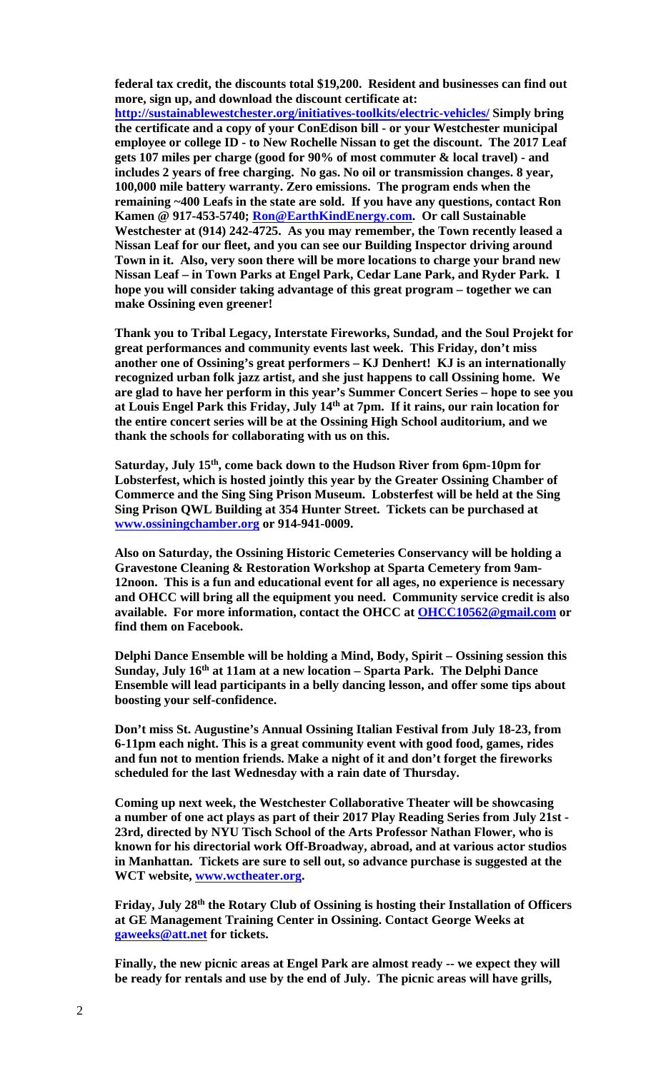**federal tax credit, the discounts total \$19,200. Resident and businesses can find out more, sign up, and download the discount certificate at:** 

**http://sustainablewestchester.org/initiatives-toolkits/electric-vehicles/ Simply bring the certificate and a copy of your ConEdison bill - or your Westchester municipal employee or college ID - to New Rochelle Nissan to get the discount. The 2017 Leaf gets 107 miles per charge (good for 90% of most commuter & local travel) - and includes 2 years of free charging. No gas. No oil or transmission changes. 8 year, 100,000 mile battery warranty. Zero emissions. The program ends when the remaining ~400 Leafs in the state are sold. If you have any questions, contact Ron Kamen @ 917-453-5740; Ron@EarthKindEnergy.com. Or call Sustainable Westchester at (914) 242-4725. As you may remember, the Town recently leased a Nissan Leaf for our fleet, and you can see our Building Inspector driving around Town in it. Also, very soon there will be more locations to charge your brand new Nissan Leaf – in Town Parks at Engel Park, Cedar Lane Park, and Ryder Park. I hope you will consider taking advantage of this great program – together we can make Ossining even greener!** 

**Thank you to Tribal Legacy, Interstate Fireworks, Sundad, and the Soul Projekt for great performances and community events last week. This Friday, don't miss another one of Ossining's great performers – KJ Denhert! KJ is an internationally recognized urban folk jazz artist, and she just happens to call Ossining home. We are glad to have her perform in this year's Summer Concert Series – hope to see you at Louis Engel Park this Friday, July 14th at 7pm. If it rains, our rain location for the entire concert series will be at the Ossining High School auditorium, and we thank the schools for collaborating with us on this.** 

**Saturday, July 15th, come back down to the Hudson River from 6pm-10pm for Lobsterfest, which is hosted jointly this year by the Greater Ossining Chamber of Commerce and the Sing Sing Prison Museum. Lobsterfest will be held at the Sing Sing Prison QWL Building at 354 Hunter Street. Tickets can be purchased at www.ossiningchamber.org or 914-941-0009.** 

**Also on Saturday, the Ossining Historic Cemeteries Conservancy will be holding a Gravestone Cleaning & Restoration Workshop at Sparta Cemetery from 9am-12noon. This is a fun and educational event for all ages, no experience is necessary and OHCC will bring all the equipment you need. Community service credit is also available. For more information, contact the OHCC at OHCC10562@gmail.com or find them on Facebook.** 

**Delphi Dance Ensemble will be holding a Mind, Body, Spirit – Ossining session this Sunday, July 16th at 11am at a new location – Sparta Park. The Delphi Dance Ensemble will lead participants in a belly dancing lesson, and offer some tips about boosting your self-confidence.** 

**Don't miss St. Augustine's Annual Ossining Italian Festival from July 18-23, from 6-11pm each night. This is a great community event with good food, games, rides and fun not to mention friends. Make a night of it and don't forget the fireworks scheduled for the last Wednesday with a rain date of Thursday.** 

**Coming up next week, the Westchester Collaborative Theater will be showcasing a number of one act plays as part of their 2017 Play Reading Series from July 21st - 23rd, directed by NYU Tisch School of the Arts Professor Nathan Flower, who is known for his directorial work Off-Broadway, abroad, and at various actor studios in Manhattan. Tickets are sure to sell out, so advance purchase is suggested at the WCT website, www.wctheater.org.** 

**Friday, July 28th the Rotary Club of Ossining is hosting their Installation of Officers at GE Management Training Center in Ossining. Contact George Weeks at gaweeks@att.net for tickets.** 

**Finally, the new picnic areas at Engel Park are almost ready -- we expect they will be ready for rentals and use by the end of July. The picnic areas will have grills,**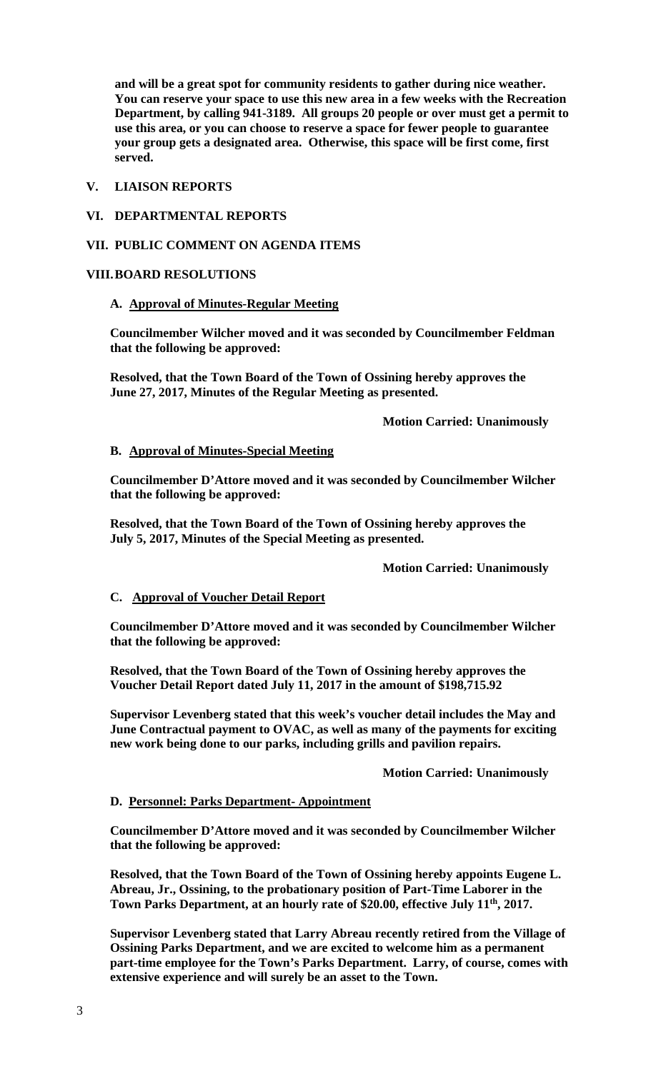**and will be a great spot for community residents to gather during nice weather. You can reserve your space to use this new area in a few weeks with the Recreation Department, by calling 941-3189. All groups 20 people or over must get a permit to use this area, or you can choose to reserve a space for fewer people to guarantee your group gets a designated area. Otherwise, this space will be first come, first served.** 

#### **V. LIAISON REPORTS**

### **VI. DEPARTMENTAL REPORTS**

### **VII. PUBLIC COMMENT ON AGENDA ITEMS**

#### **VIII.BOARD RESOLUTIONS**

#### **A. Approval of Minutes-Regular Meeting**

**Councilmember Wilcher moved and it was seconded by Councilmember Feldman that the following be approved:** 

**Resolved, that the Town Board of the Town of Ossining hereby approves the June 27, 2017, Minutes of the Regular Meeting as presented.** 

 **Motion Carried: Unanimously** 

#### **B. Approval of Minutes-Special Meeting**

**Councilmember D'Attore moved and it was seconded by Councilmember Wilcher that the following be approved:** 

**Resolved, that the Town Board of the Town of Ossining hereby approves the July 5, 2017, Minutes of the Special Meeting as presented.** 

 **Motion Carried: Unanimously** 

### **C. Approval of Voucher Detail Report**

**Councilmember D'Attore moved and it was seconded by Councilmember Wilcher that the following be approved:** 

**Resolved, that the Town Board of the Town of Ossining hereby approves the Voucher Detail Report dated July 11, 2017 in the amount of \$198,715.92** 

**Supervisor Levenberg stated that this week's voucher detail includes the May and June Contractual payment to OVAC, as well as many of the payments for exciting new work being done to our parks, including grills and pavilion repairs.** 

### **Motion Carried: Unanimously**

#### **D. Personnel: Parks Department- Appointment**

**Councilmember D'Attore moved and it was seconded by Councilmember Wilcher that the following be approved:** 

**Resolved, that the Town Board of the Town of Ossining hereby appoints Eugene L. Abreau, Jr., Ossining, to the probationary position of Part-Time Laborer in the**  Town Parks Department, at an hourly rate of \$20.00, effective July 11<sup>th</sup>, 2017.

**Supervisor Levenberg stated that Larry Abreau recently retired from the Village of Ossining Parks Department, and we are excited to welcome him as a permanent part-time employee for the Town's Parks Department. Larry, of course, comes with extensive experience and will surely be an asset to the Town.**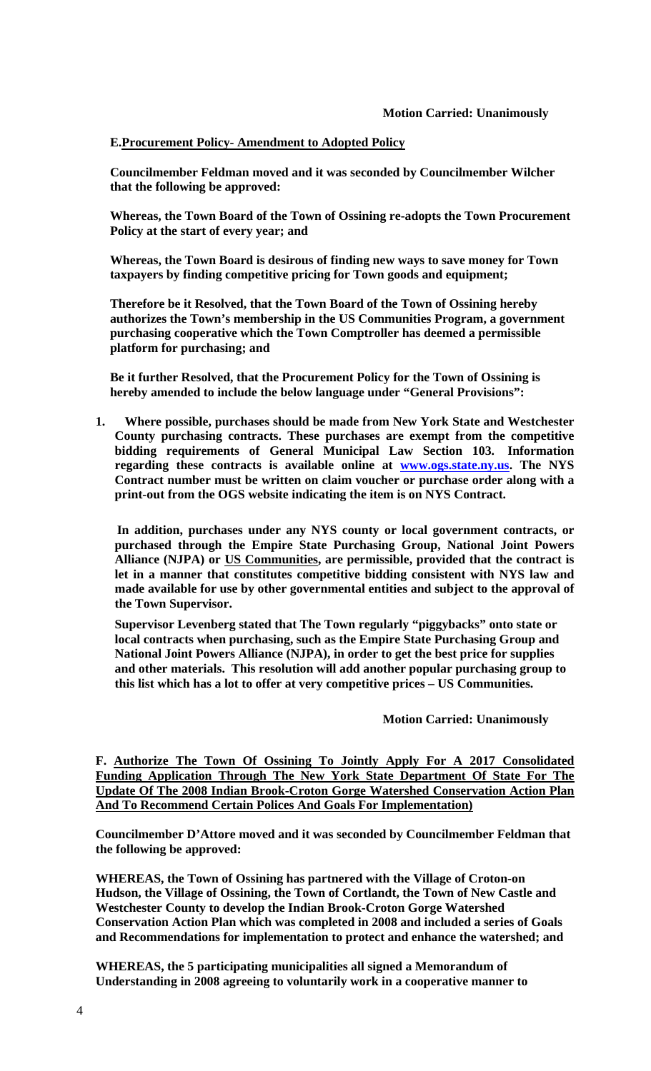## **E.Procurement Policy- Amendment to Adopted Policy**

**Councilmember Feldman moved and it was seconded by Councilmember Wilcher that the following be approved:** 

**Whereas, the Town Board of the Town of Ossining re-adopts the Town Procurement Policy at the start of every year; and** 

**Whereas, the Town Board is desirous of finding new ways to save money for Town taxpayers by finding competitive pricing for Town goods and equipment;** 

**Therefore be it Resolved, that the Town Board of the Town of Ossining hereby authorizes the Town's membership in the US Communities Program, a government purchasing cooperative which the Town Comptroller has deemed a permissible platform for purchasing; and** 

**Be it further Resolved, that the Procurement Policy for the Town of Ossining is hereby amended to include the below language under "General Provisions":** 

**1. Where possible, purchases should be made from New York State and Westchester County purchasing contracts. These purchases are exempt from the competitive bidding requirements of General Municipal Law Section 103. Information regarding these contracts is available online at www.ogs.state.ny.us. The NYS Contract number must be written on claim voucher or purchase order along with a print-out from the OGS website indicating the item is on NYS Contract.** 

 **In addition, purchases under any NYS county or local government contracts, or purchased through the Empire State Purchasing Group, National Joint Powers Alliance (NJPA) or US Communities, are permissible, provided that the contract is let in a manner that constitutes competitive bidding consistent with NYS law and made available for use by other governmental entities and subject to the approval of the Town Supervisor.** 

**Supervisor Levenberg stated that The Town regularly "piggybacks" onto state or local contracts when purchasing, such as the Empire State Purchasing Group and National Joint Powers Alliance (NJPA), in order to get the best price for supplies and other materials. This resolution will add another popular purchasing group to this list which has a lot to offer at very competitive prices – US Communities.** 

 **Motion Carried: Unanimously** 

**F. Authorize The Town Of Ossining To Jointly Apply For A 2017 Consolidated Funding Application Through The New York State Department Of State For The Update Of The 2008 Indian Brook-Croton Gorge Watershed Conservation Action Plan And To Recommend Certain Polices And Goals For Implementation)** 

**Councilmember D'Attore moved and it was seconded by Councilmember Feldman that the following be approved:** 

**WHEREAS, the Town of Ossining has partnered with the Village of Croton-on Hudson, the Village of Ossining, the Town of Cortlandt, the Town of New Castle and Westchester County to develop the Indian Brook-Croton Gorge Watershed Conservation Action Plan which was completed in 2008 and included a series of Goals and Recommendations for implementation to protect and enhance the watershed; and** 

**WHEREAS, the 5 participating municipalities all signed a Memorandum of Understanding in 2008 agreeing to voluntarily work in a cooperative manner to**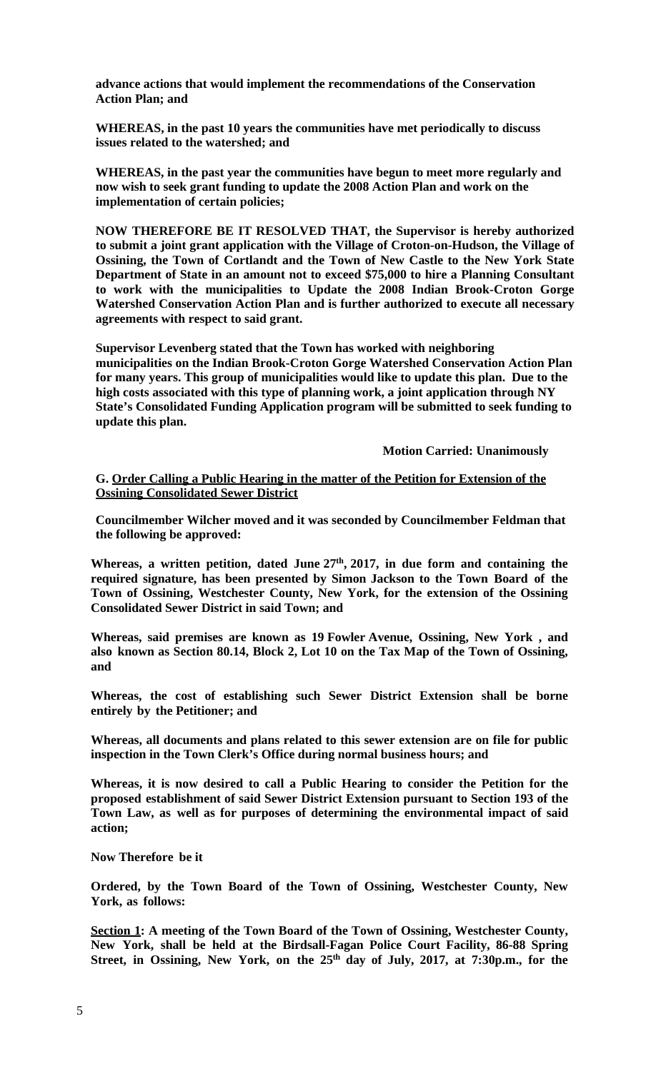**advance actions that would implement the recommendations of the Conservation Action Plan; and** 

**WHEREAS, in the past 10 years the communities have met periodically to discuss issues related to the watershed; and** 

**WHEREAS, in the past year the communities have begun to meet more regularly and now wish to seek grant funding to update the 2008 Action Plan and work on the implementation of certain policies;** 

**NOW THEREFORE BE IT RESOLVED THAT, the Supervisor is hereby authorized to submit a joint grant application with the Village of Croton-on-Hudson, the Village of Ossining, the Town of Cortlandt and the Town of New Castle to the New York State Department of State in an amount not to exceed \$75,000 to hire a Planning Consultant to work with the municipalities to Update the 2008 Indian Brook-Croton Gorge Watershed Conservation Action Plan and is further authorized to execute all necessary agreements with respect to said grant.** 

**Supervisor Levenberg stated that the Town has worked with neighboring municipalities on the Indian Brook-Croton Gorge Watershed Conservation Action Plan for many years. This group of municipalities would like to update this plan. Due to the high costs associated with this type of planning work, a joint application through NY State's Consolidated Funding Application program will be submitted to seek funding to update this plan.** 

 **Motion Carried: Unanimously** 

#### **G. Order Calling a Public Hearing in the matter of the Petition for Extension of the Ossining Consolidated Sewer District**

**Councilmember Wilcher moved and it was seconded by Councilmember Feldman that the following be approved:** 

Whereas, a written petition, dated June 27<sup>th</sup>, 2017, in due form and containing the **required signature, has been presented by Simon Jackson to the Town Board of the Town of Ossining, Westchester County, New York, for the extension of the Ossining Consolidated Sewer District in said Town; and**

**Whereas, said premises are known as 19 Fowler Avenue, Ossining, New York , and also known as Section 80.14, Block 2, Lot 10 on the Tax Map of the Town of Ossining, and**

**Whereas, the cost of establishing such Sewer District Extension shall be borne entirely by the Petitioner; and** 

**Whereas, all documents and plans related to this sewer extension are on file for public inspection in the Town Clerk's Office during normal business hours; and** 

**Whereas, it is now desired to call a Public Hearing to consider the Petition for the proposed establishment of said Sewer District Extension pursuant to Section 193 of the Town Law, as well as for purposes of determining the environmental impact of said action;** 

**Now Therefore be it**

**Ordered, by the Town Board of the Town of Ossining, Westchester County, New York, as follows:**

**Section 1: A meeting of the Town Board of the Town of Ossining, Westchester County, New York, shall be held at the Birdsall-Fagan Police Court Facility, 86-88 Spring**  Street, in Ossining, New York, on the 25<sup>th</sup> day of July, 2017, at 7:30p.m., for the